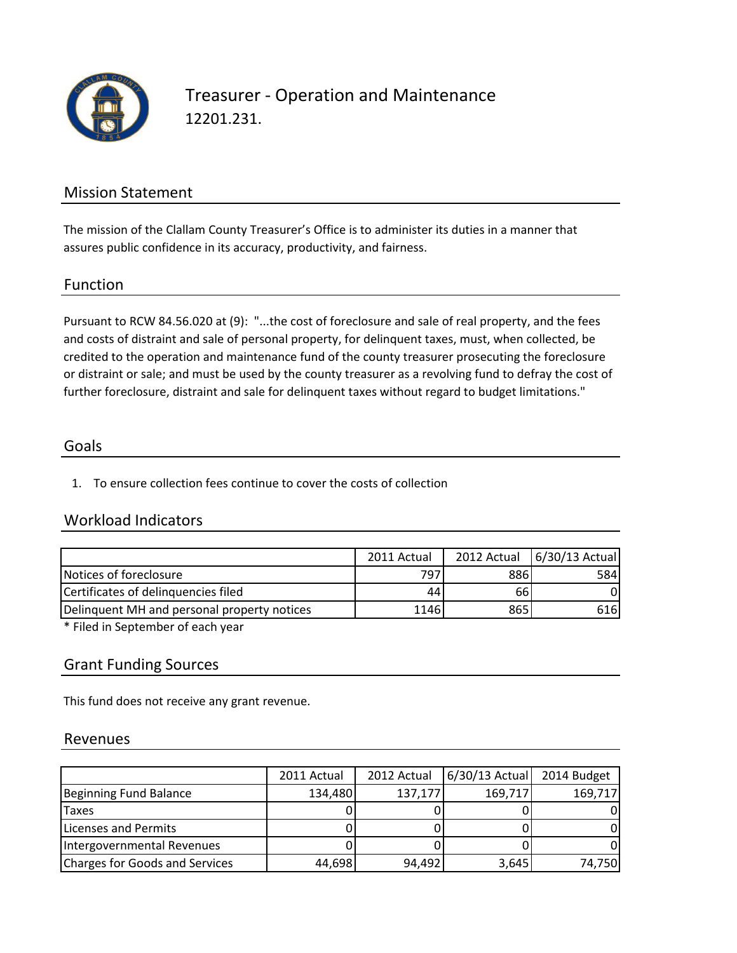

## Treasurer - Operation and Maintenance 12201.231.

## Mission Statement

The mission of the Clallam County Treasurer's Office is to administer its duties in a manner that assures public confidence in its accuracy, productivity, and fairness.

### Function

Pursuant to RCW 84.56.020 at (9): "...the cost of foreclosure and sale of real property, and the fees and costs of distraint and sale of personal property, for delinquent taxes, must, when collected, be credited to the operation and maintenance fund of the county treasurer prosecuting the foreclosure or distraint or sale; and must be used by the county treasurer as a revolving fund to defray the cost of further foreclosure, distraint and sale for delinquent taxes without regard to budget limitations."

### Goals

1. To ensure collection fees continue to cover the costs of collection

## Workload Indicators

|                                             | 2011 Actual | 2012 Actual | $6/30/13$ Actual |
|---------------------------------------------|-------------|-------------|------------------|
| Notices of foreclosure                      | 797         | 886         | 584I             |
| Certificates of delinguencies filed         | 44          | 66          |                  |
| Delinguent MH and personal property notices | 1146        | 865         | 616I             |

\* Filed in September of each year

## Grant Funding Sources

This fund does not receive any grant revenue.

### Revenues

|                                | 2011 Actual | 2012 Actual | $6/30/13$ Actual | 2014 Budget |
|--------------------------------|-------------|-------------|------------------|-------------|
| Beginning Fund Balance         | 134,480     | 137,177     | 169,717          | 169,717     |
| <b>Taxes</b>                   |             |             |                  |             |
| Licenses and Permits           |             |             |                  |             |
| Intergovernmental Revenues     |             |             |                  |             |
| Charges for Goods and Services | 44,698      | 94,492      | 3,645            | 74,750      |